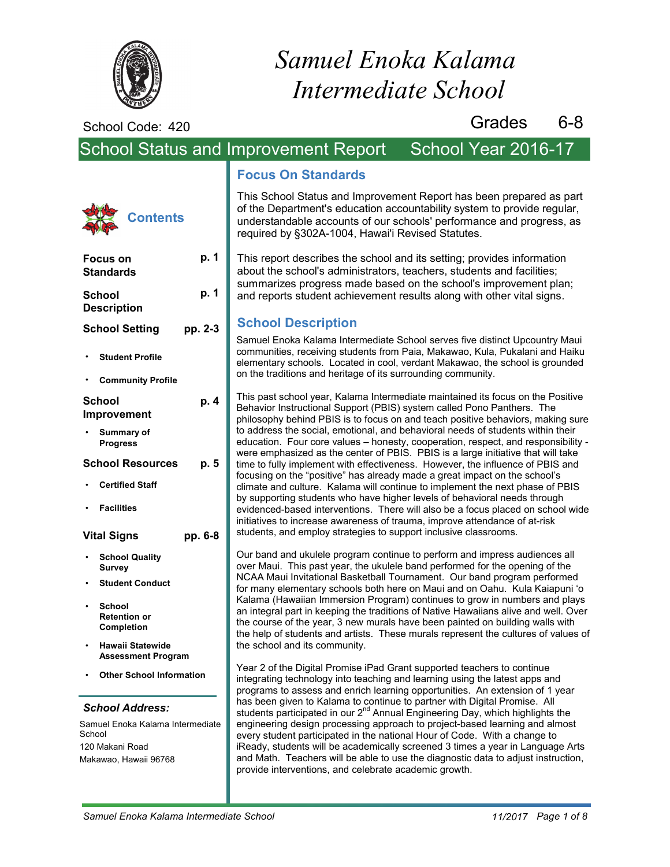

# *Samuel Enoka Kalama Intermediate School*

School Code: 420

**Focus on Standards**

**School Description**

•

**School Setting**

**Student Profile**

**Contents**

**p. 1**

**p. 1**

**p. 4**

**p. 5**

**pp. 2-3**

Grades 6-8

# School Status and Improvement Report School Year 2016-17

# **Focus On Standards**

This School Status and Improvement Report has been prepared as part of the Department's education accountability system to provide regular, understandable accounts of our schools' performance and progress, as required by §302A-1004, Hawai'i Revised Statutes.

This report describes the school and its setting; provides information about the school's administrators, teachers, students and facilities; summarizes progress made based on the school's improvement plan; and reports student achievement results along with other vital signs.

# **School Description**

Samuel Enoka Kalama Intermediate School serves five distinct Upcountry Maui communities, receiving students from Paia, Makawao, Kula, Pukalani and Haiku elementary schools. Located in cool, verdant Makawao, the school is grounded on the traditions and heritage of its surrounding community.

This past school year, Kalama Intermediate maintained its focus on the Positive Behavior Instructional Support (PBIS) system called Pono Panthers. The philosophy behind PBIS is to focus on and teach positive behaviors, making sure to address the social, emotional, and behavioral needs of students within their education. Four core values – honesty, cooperation, respect, and responsibility were emphasized as the center of PBIS. PBIS is a large initiative that will take time to fully implement with effectiveness. However, the influence of PBIS and focusing on the "positive" has already made a great impact on the school's climate and culture. Kalama will continue to implement the next phase of PBIS by supporting students who have higher levels of behavioral needs through evidenced-based interventions. There will also be a focus placed on school wide initiatives to increase awareness of trauma, improve attendance of at-risk students, and employ strategies to support inclusive classrooms.

Our band and ukulele program continue to perform and impress audiences all over Maui. This past year, the ukulele band performed for the opening of the NCAA Maui Invitational Basketball Tournament. Our band program performed for many elementary schools both here on Maui and on Oahu. Kula Kaiapuni 'o Kalama (Hawaiian Immersion Program) continues to grow in numbers and plays an integral part in keeping the traditions of Native Hawaiians alive and well. Over the course of the year, 3 new murals have been painted on building walls with the help of students and artists. These murals represent the cultures of values of the school and its community.

Year 2 of the Digital Promise iPad Grant supported teachers to continue integrating technology into teaching and learning using the latest apps and programs to assess and enrich learning opportunities. An extension of 1 year has been given to Kalama to continue to partner with Digital Promise. All students participated in our 2<sup>nd</sup> Annual Engineering Day, which highlights the engineering design processing approach to project-based learning and almost every student participated in the national Hour of Code. With a change to iReady, students will be academically screened 3 times a year in Language Arts and Math. Teachers will be able to use the diagnostic data to adjust instruction, provide interventions, and celebrate academic growth.

**Community Profile School Improvement Summary of Progress School Resources Certified Staff Facilities Vital Signs School Quality Survey Student Conduct pp. 6-8** • • • • • •

- **School Retention or Completion** •
- **Hawaii Statewide Assessment Program** •
- **Other School Information**

### *School Address:*

Samuel Enoka Kalama Intermediate **School** 120 Makani Road Makawao, Hawaii 96768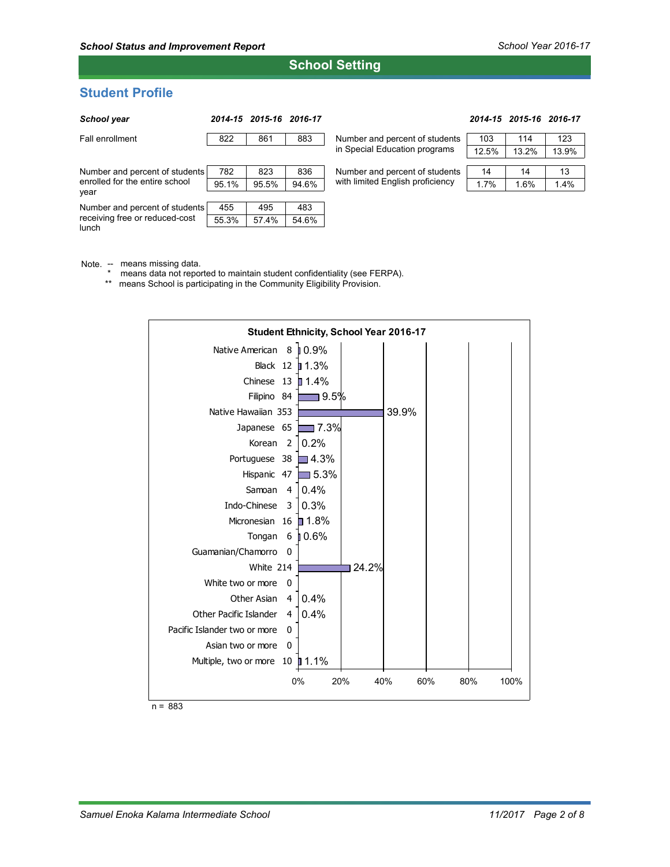# **School Setting**

# **Student Profile**

| School year                                                               |       | 2014-15 2015-16 2016-17 |       |                                                                    |       | 2014-15 2015-16 2016-17 |       |
|---------------------------------------------------------------------------|-------|-------------------------|-------|--------------------------------------------------------------------|-------|-------------------------|-------|
| Fall enrollment                                                           | 822   | 861                     | 883   | Number and percent of students                                     | 103   | 114                     | 123   |
|                                                                           |       |                         |       | in Special Education programs                                      | 12.5% | 13.2%                   | 13.9% |
| Number and percent of students<br>enrolled for the entire school<br>year  | 782   | 823                     | 836   | Number and percent of students<br>with limited English proficiency | 14    | 14                      | 13    |
|                                                                           | 95.1% | 95.5%                   | 94.6% |                                                                    | 1.7%  | 1.6%                    | 1.4%  |
|                                                                           |       |                         |       |                                                                    |       |                         |       |
| Number and percent of students<br>receiving free or reduced-cost<br>lunch | 455   | 495                     | 483   |                                                                    |       |                         |       |
|                                                                           | 55.3% | 57.4%                   | 54.6% |                                                                    |       |                         |       |

Note. -- means missing data.

\* means data not reported to maintain student confidentiality (see FERPA).

\*\* means School is participating in the Community Eligibility Provision.



n = 883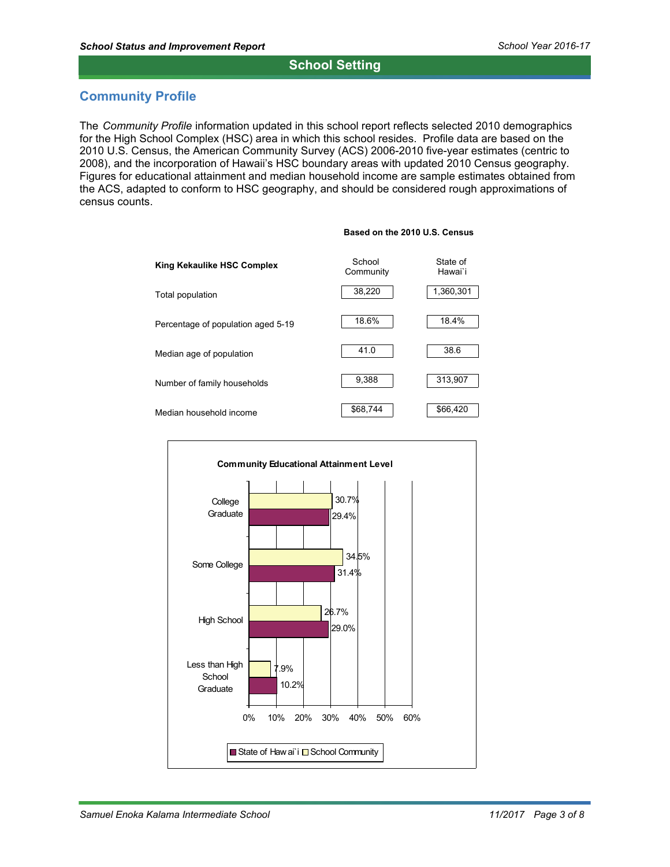# **School Setting**

# **Community Profile**

The Community Profile information updated in this school report reflects selected 2010 demographics for the High School Complex (HSC) area in which this school resides. Profile data are based on the 2010 U.S. Census, the American Community Survey (ACS) 2006-2010 five-year estimates (centric to 2008), and the incorporation of Hawaii's HSC boundary areas with updated 2010 Census geography. Figures for educational attainment and median household income are sample estimates obtained from the ACS, adapted to conform to HSC geography, and should be considered rough approximations of census counts.





#### **Based on the 2010 U.S. Census**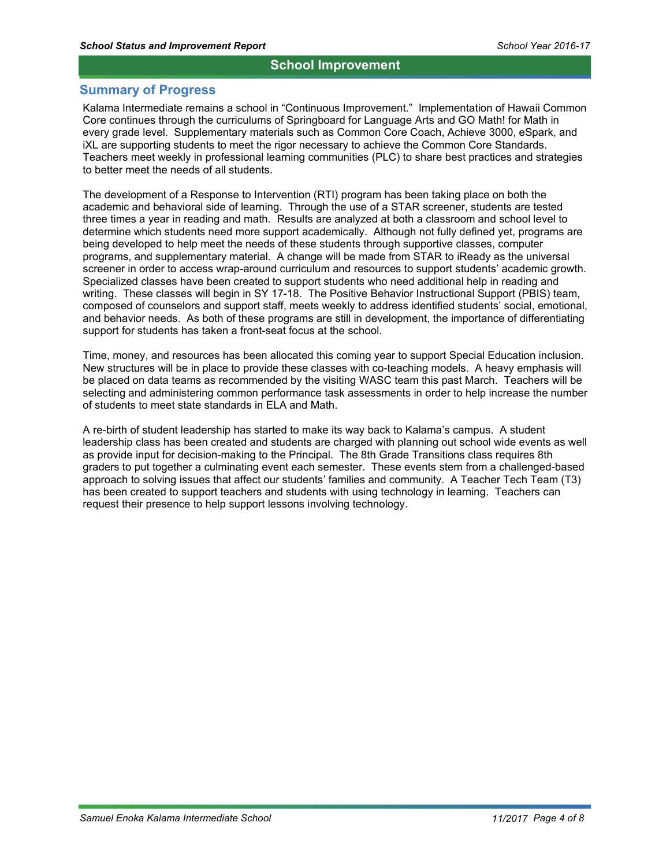### **School Improvement**

### **Summary of Progress**

Kalama Intermediate remains a school in "Continuous Improvement." Implementation of Hawaii Common Core continues through the curriculums of Springboard for Language Arts and GO Math! for Math in every grade level. Supplementary materials such as Common Core Coach, Achieve 3000, eSpark, and iXL are supporting students to meet the rigor necessary to achieve the Common Core Standards. Teachers meet weekly in professional learning communities (PLC) to share best practices and strategies to better meet the needs of all students.

The development of a Response to Intervention (RTI) program has been taking place on both the academic and behavioral side of learning. Through the use of a STAR screener, students are tested three times a year in reading and math. Results are analyzed at both a classroom and school level to determine which students need more support academically. Although not fully defined yet, programs are being developed to help meet the needs of these students through supportive classes, computer programs, and supplementary material. A change will be made from STAR to iReady as the universal screener in order to access wrap-around curriculum and resources to support students' academic growth. Specialized classes have been created to support students who need additional help in reading and writing. These classes will begin in SY 17-18. The Positive Behavior Instructional Support (PBIS) team, composed of counselors and support staff, meets weekly to address identified students' social, emotional, and behavior needs. As both of these programs are still in development, the importance of differentiating support for students has taken a front-seat focus at the school.

Time, money, and resources has been allocated this coming year to support Special Education inclusion. New structures will be in place to provide these classes with co-teaching models. A heavy emphasis will be placed on data teams as recommended by the visiting WASC team this past March. Teachers will be selecting and administering common performance task assessments in order to help increase the number of students to meet state standards in ELA and Math.

A re-birth of student leadership has started to make its way back to Kalama's campus. A student leadership class has been created and students are charged with planning out school wide events as well as provide input for decision-making to the Principal. The 8th Grade Transitions class requires 8th graders to put together a culminating event each semester. These events stem from a challenged-based approach to solving issues that affect our students' families and community. A Teacher Tech Team (T3) has been created to support teachers and students with using technology in learning. Teachers can request their presence to help support lessons involving technology.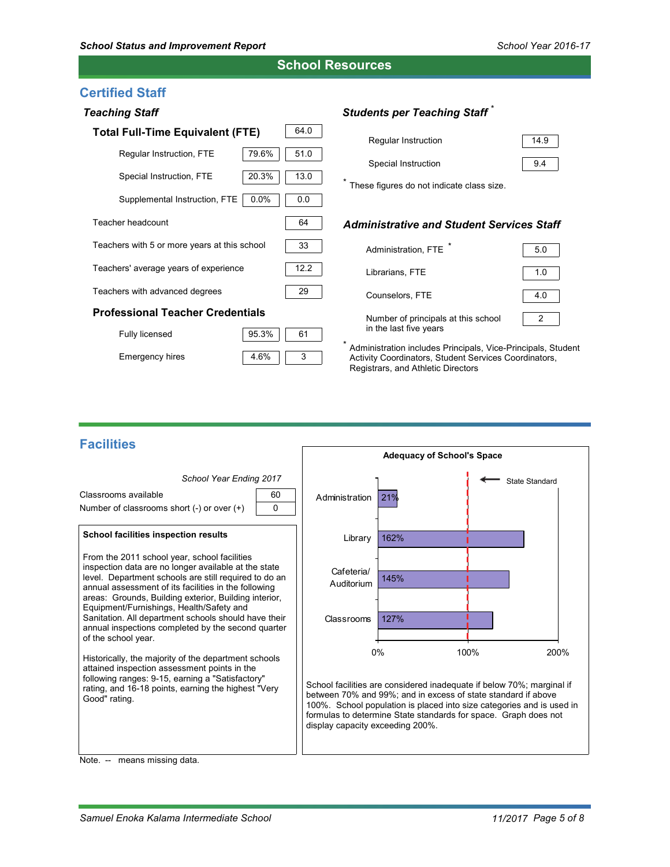**School Resources**

# **Certified Staff**

| <b>Teaching Staff</b>                        |      |  |  |  |  |
|----------------------------------------------|------|--|--|--|--|
| <b>Total Full-Time Equivalent (FTE)</b>      | 64.0 |  |  |  |  |
| 79.6%<br>Regular Instruction, FTE            | 51.0 |  |  |  |  |
| 20.3%<br>Special Instruction, FTE            | 13.0 |  |  |  |  |
| $0.0\%$<br>Supplemental Instruction, FTE     | 0.0  |  |  |  |  |
| Teacher headcount                            | 64   |  |  |  |  |
| Teachers with 5 or more years at this school | 33   |  |  |  |  |
| Teachers' average years of experience        | 12.2 |  |  |  |  |
| Teachers with advanced degrees               | 29   |  |  |  |  |
| <b>Professional Teacher Credentials</b>      |      |  |  |  |  |
| 95.3%<br>Fully licensed                      | 61   |  |  |  |  |

# *Students per Teaching Staff* \*

| Regular Instruction | 14.9 |
|---------------------|------|
| Special Instruction | 9.4  |

\* These figures do not indicate class size.

### *Administrative and Student Services Staff*

| Administration, FTE                                           | 5.0 |
|---------------------------------------------------------------|-----|
| Librarians, FTE                                               | 1.0 |
| Counselors, FTE                                               | 4.0 |
| Number of principals at this school<br>in the last five years |     |

Administration includes Principals, Vice-Principals, Student Activity Coordinators, Student Services Coordinators, Registrars, and Athletic Directors

# **Facilities**

Emergency hires



3

4.6%

Note. -- means missing data.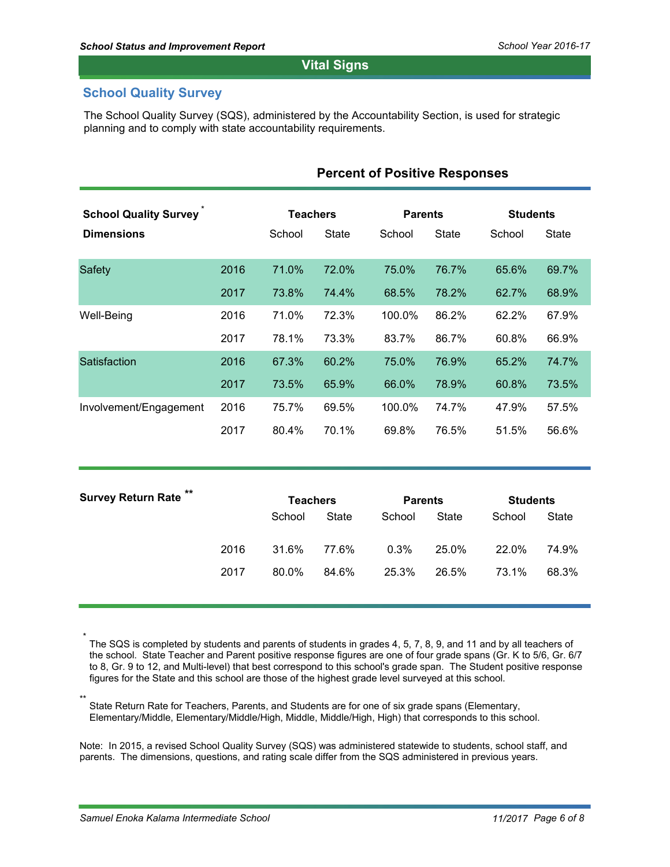# **Vital Signs**

# **School Quality Survey**

The School Quality Survey (SQS), administered by the Accountability Section, is used for strategic planning and to comply with state accountability requirements.

| <b>School Quality Survey</b> |      |                           | <b>Teachers</b> |                          | <b>Parents</b> |                           | <b>Students</b> |  |
|------------------------------|------|---------------------------|-----------------|--------------------------|----------------|---------------------------|-----------------|--|
| <b>Dimensions</b>            |      | School                    | <b>State</b>    | School                   | <b>State</b>   | School                    | State           |  |
| <b>Safety</b>                | 2016 | 71.0%                     | 72.0%           | 75.0%                    | 76.7%          | 65.6%                     | 69.7%           |  |
|                              | 2017 | 73.8%                     | 74.4%           | 68.5%                    | 78.2%          | 62.7%                     | 68.9%           |  |
| Well-Being                   | 2016 | 71.0%                     | 72.3%           | 100.0%                   | 86.2%          | 62.2%                     | 67.9%           |  |
|                              | 2017 | 78.1%                     | 73.3%           | 83.7%                    | 86.7%          | 60.8%                     | 66.9%           |  |
| Satisfaction                 | 2016 | 67.3%                     | 60.2%           | 75.0%                    | 76.9%          | 65.2%                     | 74.7%           |  |
|                              | 2017 | 73.5%                     | 65.9%           | 66.0%                    | 78.9%          | 60.8%                     | 73.5%           |  |
| Involvement/Engagement       | 2016 | 75.7%                     | 69.5%           | 100.0%                   | 74.7%          | 47.9%                     | 57.5%           |  |
|                              | 2017 | 80.4%                     | 70.1%           | 69.8%                    | 76.5%          | 51.5%                     | 56.6%           |  |
| <b>Survey Return Rate</b>    |      |                           |                 |                          |                |                           |                 |  |
|                              |      | <b>Teachers</b><br>School | <b>State</b>    | <b>Parents</b><br>School | <b>State</b>   | <b>Students</b><br>School | <b>State</b>    |  |
|                              | 2016 | 31.6%                     | 77.6%           | 0.3%                     | 25.0%          | 22.0%                     | 74.9%           |  |

# **Percent of Positive Responses**

The SQS is completed by students and parents of students in grades 4, 5, 7, 8, 9, and 11 and by all teachers of the school. State Teacher and Parent positive response figures are one of four grade spans (Gr. K to 5/6, Gr. 6/7 to 8, Gr. 9 to 12, and Multi-level) that best correspond to this school's grade span. The Student positive response figures for the State and this school are those of the highest grade level surveyed at this school.

2017 80.0% 84.6% 25.3% 26.5% 73.1% 68.3%

\*\* State Return Rate for Teachers, Parents, and Students are for one of six grade spans (Elementary, Elementary/Middle, Elementary/Middle/High, Middle, Middle/High, High) that corresponds to this school.

Note: In 2015, a revised School Quality Survey (SQS) was administered statewide to students, school staff, and parents. The dimensions, questions, and rating scale differ from the SQS administered in previous years.

\*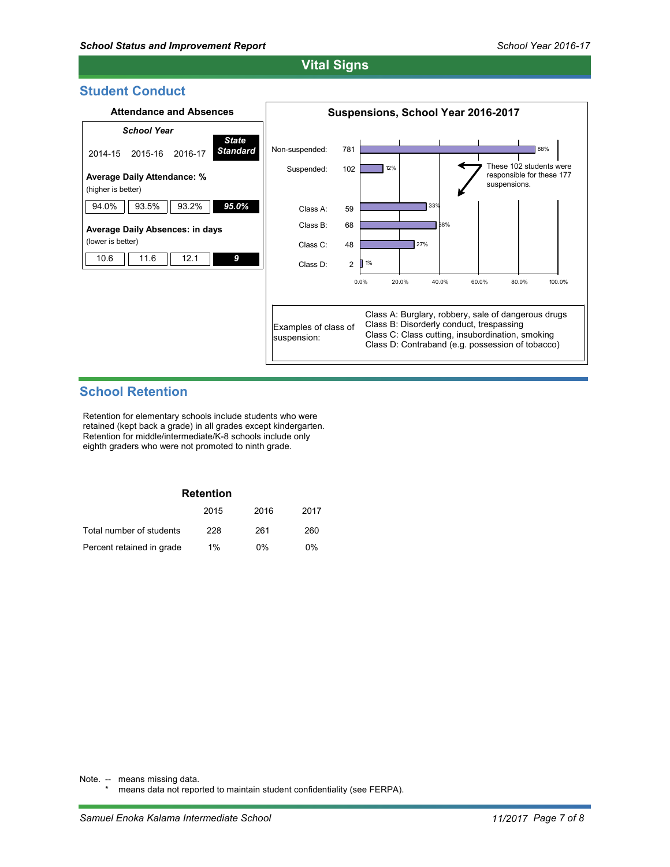# **Vital Signs**

### **Student Conduct**



# **School Retention**

Retention for elementary schools include students who were retained (kept back a grade) in all grades except kindergarten. Retention for middle/intermediate/K-8 schools include only eighth graders who were not promoted to ninth grade.

| <b>Retention</b>          |       |       |       |  |  |  |  |
|---------------------------|-------|-------|-------|--|--|--|--|
|                           | 2015  | 2016  | 2017  |  |  |  |  |
| Total number of students  | 228   | 261   | 260   |  |  |  |  |
| Percent retained in grade | $1\%$ | $0\%$ | $0\%$ |  |  |  |  |

Note. -- means missing data.

means data not reported to maintain student confidentiality (see FERPA).